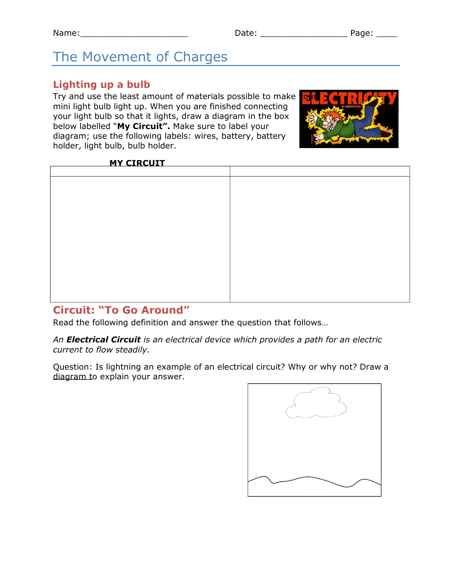# The Movement of Charges

## **Lighting up a bulb**

Try and use the least amount of materials possible to make mini light bulb light up. When you are finished connecting your light bulb so that it lights, draw a diagram in the box below labelled "**My Circuit".** Make sure to label your diagram; use the following labels: wires, battery, battery holder, light bulb, bulb holder.



#### **MY CIRCUIT**

## **Circuit: "To Go Around"**

Read the following definition and answer the question that follows…

*An Electrical Circuit is an electrical device which provides a path for an electric current to flow steadily.*

Question: Is lightning an example of an electrical circuit? Why or why not? Draw a diagram to explain your answer.

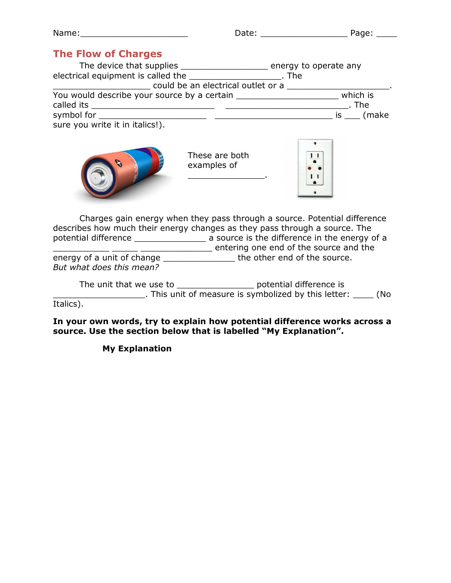| Name | ーーー | -<br>- |
|------|-----|--------|
|      |     |        |

## **The Flow of Charges**

| The device that supplies The device that supplies<br>electrical equipment is called the | energy to operate any<br>. The |
|-----------------------------------------------------------------------------------------|--------------------------------|
|                                                                                         |                                |
| could be an electrical outlet or a                                                      |                                |
| You would describe your source by a certain                                             | which is                       |
| called its                                                                              | . The                          |
| symbol for                                                                              | is (make                       |
| sure you write it in italics!).                                                         |                                |



These are both examples of

 $\overline{\phantom{a}}$  . The set of the set of the set of the set of the set of the set of the set of the set of the set of the set of the set of the set of the set of the set of the set of the set of the set of the set of the set o



Charges gain energy when they pass through a source. Potential difference describes how much their energy changes as they pass through a source. The potential difference \_\_\_\_\_\_\_\_\_\_\_\_\_\_\_\_\_\_\_\_\_ a source is the difference in the energy of a \_\_\_\_\_\_\_\_\_\_\_ \_\_\_\_\_ \_\_\_\_\_\_\_\_\_\_\_\_\_\_ entering one end of the source and the energy of a unit of change \_\_\_\_\_\_\_\_\_\_\_\_\_\_\_\_\_\_\_ the other end of the source. *But what does this mean?*

The unit that we use to \_\_\_\_\_\_\_\_\_\_\_\_\_\_\_\_\_\_\_ potential difference is \_\_\_\_\_\_\_\_\_\_\_\_\_\_\_\_\_\_. This unit of measure is symbolized by this letter: \_\_\_\_ (No Italics).

**In your own words, try to explain how potential difference works across a source. Use the section below that is labelled "My Explanation".**

**My Explanation**